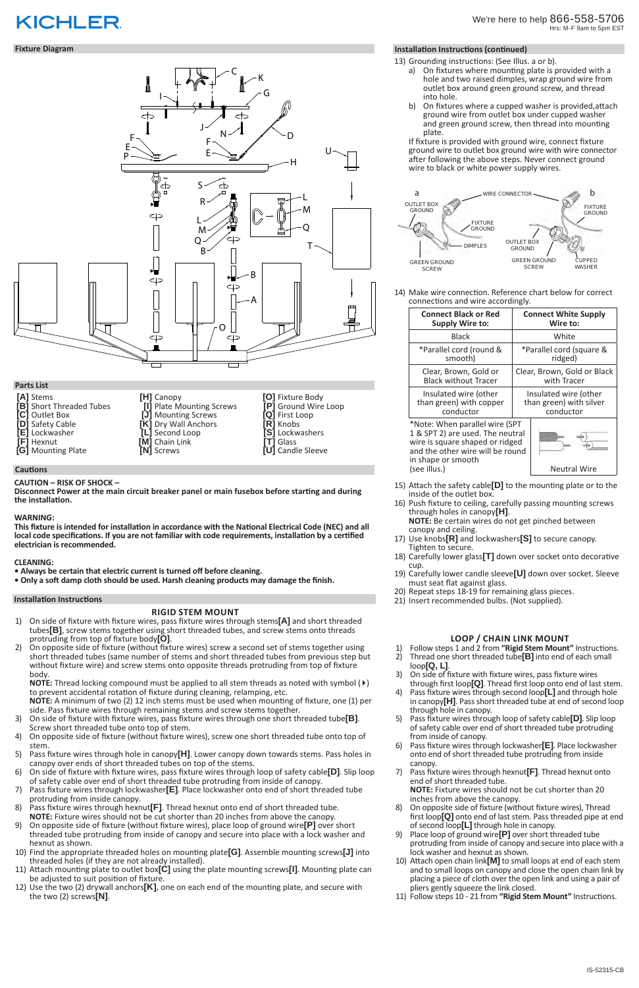

- 13) Grounding instructions: (See Illus. a or b).
	- a) On fixtures where mounting plate is provided with a hole and two raised dimples, wrap ground wire from outlet box around green ground screw, and thread into hole.
	- b) On fixtures where a cupped washer is provided,attach ground wire from outlet box under cupped washer and green ground screw, then thread into mounting plate.

If fixture is provided with ground wire, connect fixture ground wire to outlet box ground wire with wire connector after following the above steps. Never connect ground wire to black or white power supply wires.

14) Make wire connection. Reference chart below for correct connections and wire accordingly.

| <b>Connect Black or Red</b>                                                                                                                                     | <b>Connect White Supply</b> |
|-----------------------------------------------------------------------------------------------------------------------------------------------------------------|-----------------------------|
| <b>Supply Wire to:</b>                                                                                                                                          | Wire to:                    |
| <b>Black</b>                                                                                                                                                    | White                       |
| *Parallel cord (round &                                                                                                                                         | *Parallel cord (square &    |
| smooth)                                                                                                                                                         | ridged)                     |
| Clear, Brown, Gold or                                                                                                                                           | Clear, Brown, Gold or Black |
| <b>Black without Tracer</b>                                                                                                                                     | with Tracer                 |
| Insulated wire (other                                                                                                                                           | Insulated wire (other       |
| than green) with copper                                                                                                                                         | than green) with silver     |
| conductor                                                                                                                                                       | conductor                   |
| *Note: When parallel wire (SPT<br>1 & SPT 2) are used. The neutral<br>wire is square shaped or ridged<br>and the other wire will be round<br>in shape or smooth |                             |
| (see illus.)                                                                                                                                                    | <b>Neutral Wire</b>         |

- 15) Attach the safety cable**[D]** to the mounting plate or to the inside of the outlet box.
- 16) Push fixture to ceiling, carefully passing mounting screws through holes in canopy**[H]**. **NOTE:** Be certain wires do not get pinched between canopy and ceiling.
- 17) Use knobs**[R]** and lockwashers**[S]** to secure canopy. Tighten to secure.
- 18) Carefully lower glass**[T]** down over socket onto decorative cup.
- 19) Carefully lower candle sleeve**[U]** down over socket. Sleeve must seat flat against glass.
- 20) Repeat steps 18-19 for remaining glass pieces.
- 21) Insert recommended bulbs. (Not supplied).



# **KICHLER**

### **Fixture Diagram**

# **Cautions**

# **CAUTION – RISK OF SHOCK –**

**Disconnect Power at the main circuit breaker panel or main fusebox before starting and during the installation.** 

# **WARNING:**

**This fixture is intended for installation in accordance with the National Electrical Code (NEC) and all local code specifications. If you are not familiar with code requirements, installation by a certified electrician is recommended.**

# **CLEANING:**

- **Always be certain that electric current is turned off before cleaning.**
- **Only a soft damp cloth should be used. Harsh cleaning products may damage the finish.**

# **Installation Instructions**

- 
- **[C]** Outlet Box
- **[D]** Safety Cable **[E]** Lockwasher
- 
- **[F]** Hexnut
- **[G]** Mounting Plate

**[K]** Dry Wall Anchors

**[L]** Second Loop **[M]** Chain Link **[N]** Screws

**[R]** Knobs **[S]** Lockwashers

**[T]** Glass

**[U]** Candle Sleeve

# **RIGID STEM MOUNT**

- 1) On side of fixture with fixture wires, pass fixture wires through stems**[A]** and short threaded tubes**[B]**, screw stems together using short threaded tubes, and screw stems onto threads protruding from top of fixture body**[O]**.
- 2) On opposite side of fixture (without fixture wires) screw a second set of stems together using short threaded tubes (same number of stems and short threaded tubes from previous step but without fixture wire) and screw stems onto opposite threads protruding from top of fixture body.

**NOTE:** Thread locking compound must be applied to all stem threads as noted with symbol (4) to prevent accidental rotation of fixture during cleaning, relamping, etc. **NOTE:** A minimum of two (2) 12 inch stems must be used when mounting of fixture, one (1) per

- side. Pass fixture wires through remaining stems and screw stems together.
- 3) On side of fixture with fixture wires, pass fixture wires through one short threaded tube**[B]**. Screw short threaded tube onto top of stem. 4) On opposite side of fixture (without fixture wires), screw one short threaded tube onto top of stem. 5) Pass fixture wires through hole in canopy**[H]**. Lower canopy down towards stems. Pass holes in canopy over ends of short threaded tubes on top of the stems. 6) On side of fixture with fixture wires, pass fixture wires through loop of safety cable**[D]**. Slip loop of safety cable over end of short threaded tube protruding from inside of canopy. 7) Pass fixture wires through lockwasher**[E]**. Place lockwasher onto end of short threaded tube protruding from inside canopy. 8) Pass fixture wires through hexnut**[F]**. Thread hexnut onto end of short threaded tube. **NOTE:** Fixture wires should not be cut shorter than 20 inches from above the canopy. 9) On opposite side of fixture (without fixture wires), place loop of ground wire**[P]** over short threaded tube protruding from inside of canopy and secure into place with a lock washer and hexnut as shown. 10) Find the appropriate threaded holes on mounting plate**[G]**. Assemble mounting screws**[J]** into threaded holes (if they are not already installed). 11) Attach mounting plate to outlet box**[C]** using the plate mounting screws**[I]**. Mounting plate can be adjusted to suit position of fixture. 12) Use the two (2) drywall anchors**[K]**, one on each end of the mounting plate, and secure with the two (2) screws**[N]**.



# **Installation Instructions (continued)**

# **LOOP / CHAIN LINK MOUNT**

- 1) Follow steps 1 and 2 from **"Rigid Stem Mount"** Instructions.
- 2) Thread one short threaded tube**[B]** into end of each small loop**[Q, L]**.
- 3) On side of fixture with fixture wires, pass fixture wires through first loop**[Q]**. Thread first loop onto end of last stem.
- 4) Pass fixture wires through second loop**[L]** and through hole in canopy**[H]**. Pass short threaded tube at end of second loop through hole in canopy.
- 5) Pass fixture wires through loop of safety cable**[D]**. Slip loop of safety cable over end of short threaded tube protruding from inside of canopy. 6) Pass fixture wires through lockwasher**[E]**. Place lockwasher onto end of short threaded tube protruding from inside canopy. 7) Pass fixture wires through hexnut**[F]**. Thread hexnut onto end of short threaded tube.

**NOTE:** Fixture wires should not be cut shorter than 20 inches from above the canopy.

- 8) On opposite side of fixture (without fixture wires), Thread first loop**[Q]** onto end of last stem. Pass threaded pipe at end of second loop**[L]** through hole in canopy.
- 9) Place loop of ground wire**[P]** over short threaded tube protruding from inside of canopy and secure into place with a lock washer and hexnut as shown.
- 10) Attach open chain link**[M]** to small loops at end of each stem and to small loops on canopy and close the open chain link by placing a piece of cloth over the open link and using a pair of pliers gently squeeze the link closed.
- 11) Follow steps 10 21 from **"Rigid Stem Mount"** Instructions.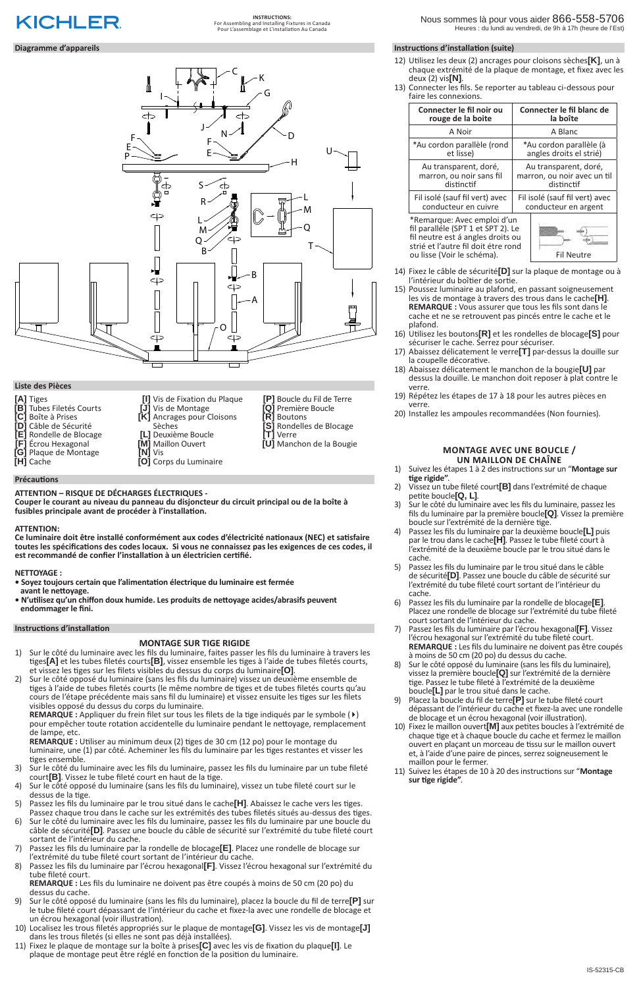Nous sommes là pour vous aider 866-558-5706 Heures : du lundi au vendredi, de 9h à 17h (heure de l'Est)

# **KICHLER**

**INSTRUCTIONS:** For Assembling and Installing Fixtures in Canada Pour L'assemblage et L'installation Au Canada

#### **MONTAGE SUR TIGE RIGIDE**

- 1) Sur le côté du luminaire avec les fils du luminaire, faites passer les fils du luminaire à travers les tiges**[A]** et les tubes filetés courts**[B]**, vissez ensemble les tiges à l'aide de tubes filetés courts, et vissez les tiges sur les filets visibles du dessus du corps du luminaire**[O]**.
- 2) Sur le côté opposé du luminaire (sans les fils du luminaire) vissez un deuxième ensemble de tiges à l'aide de tubes filetés courts (le même nombre de tiges et de tubes filetés courts qu'au cours de l'étape précédente mais sans fil du luminaire) et vissez ensuite les tiges sur les filets visibles opposé du dessus du corps du luminaire.

**REMARQUE :** Appliquer du frein filet sur tous les filets de la tige indiqués par le symbole (4) pour empêcher toute rotation accidentelle du luminaire pendant le nettoyage, remplacement

**REMARQUE :** Utiliser au minimum deux (2) tiges de 30 cm (12 po) pour le montage du luminaire, une (1) par côté. Acheminer les fils du luminaire par les tiges restantes et visser les tiges ensemble.

- 3) Sur le côté du luminaire avec les fils du luminaire, passez les fils du luminaire par un tube fileté court**[B]**. Vissez le tube fileté court en haut de la tige.
- 4) Sur le côté opposé du luminaire (sans les fils du luminaire), vissez un tube fileté court sur le dessus de la tige.
- 5) Passez les fils du luminaire par le trou situé dans le cache**[H]**. Abaissez le cache vers les tiges. Passez chaque trou dans le cache sur les extrémités des tubes filetés situés au-dessus des tiges.
- 6) Sur le côté du luminaire avec les fils du luminaire, passez les fils du luminaire par une boucle du câble de sécurité**[D]**. Passez une boucle du câble de sécurité sur l'extrémité du tube fileté court sortant de l'intérieur du cache.
- 7) Passez les fils du luminaire par la rondelle de blocage**[E]**. Placez une rondelle de blocage sur l'extrémité du tube fileté court sortant de l'intérieur du cache.
- 8) Passez les fils du luminaire par l'écrou hexagonal**[F]**. Vissez l'écrou hexagonal sur l'extrémité du tube fileté court.

**REMARQUE :** Les fils du luminaire ne doivent pas être coupés à moins de 50 cm (20 po) du dessus du cache.

- 9) Sur le côté opposé du luminaire (sans les fils du luminaire), placez la boucle du fil de terre**[P]** sur le tube fileté court dépassant de l'intérieur du cache et fixez-la avec une rondelle de blocage et un écrou hexagonal (voir illustration).
- 10) Localisez les trous filetés appropriés sur le plaque de montage**[G]**. Vissez les vis de montage**[J]** dans les trous filetés (si elles ne sont pas déjà installées).
- 11) Fixez le plaque de montage sur la boîte à prises**[C]** avec les vis de fixation du plaque**[I]**. Le plaque de montage peut être réglé en fonction de la position du luminaire.

#### **Diagramme d'appareils**

- **[A]** Tiges
- **[B]** Tubes Filetés Courts
- **[C]** Boîte à Prises
- **[D]** Câble de Sécurité
- **[E]** Rondelle de Blocage
- **[F]** Écrou Hexagonal
- **[G]** Plaque de Montage
- **[H]** Cache
- 
- 
- 1) Suivez les étapes 1 à 2 des instructions sur un "**Montage sur**
- **tige rigide".**<br>
2) Vissez un tube fileté court**[B]** dans l'extrémité de chaque petite boucle**[Q, L]**.
- 3) Sur le côté du luminaire avec les fils du luminaire, passez les fils du luminaire par la première boucle**[Q]**. Vissez la première boucle sur l'extrémité de la dernière tige.
- 4) Passez les fils du luminaire par la deuxième boucle**[L]** puis par le trou dans le cache**[H]**. Passez le tube fileté court à l'extrémité de la deuxième boucle par le trou situé dans le cache.
- 5) Passez les fils du luminaire par le trou situé dans le câble de sécurité**[D]**. Passez une boucle du câble de sécurité sur l'extrémité du tube fileté court sortant de l'intérieur du cache.
- 6) Passez les fils du luminaire par la rondelle de blocage**[E]**. Placez une rondelle de blocage sur l'extrémité du tube fileté court sortant de l'intérieur du cache.
- 7) Passez les fils du luminaire par l'écrou hexagonal**[F]**. Vissez l'écrou hexagonal sur l'extrémité du tube fileté court. **REMARQUE :** Les fils du luminaire ne doivent pas être coupés à moins de 50 cm (20 po) du dessus du cache.
- 8) Sur le côté opposé du luminaire (sans les fils du luminaire), vissez la première boucle**[Q]** sur l'extrémité de la dernière tige. Passez le tube fileté à l'extrémité de la deuxième boucle**[L]** par le trou situé dans le cache.
- 9) Placez la boucle du fil de terre**[P]** sur le tube fileté court dépassant de l'intérieur du cache et fixez-la avec une rondelle de blocage et un écrou hexagonal (voir illustration).
- 
- de lampe, etc.

**[I]** Vis de Fixation du Plaque **[J]** Vis de Montage **[K]** Ancrages pour Cloisons Sèches **[L]** Deuxième Boucle **[M]** Maillon Ouvert **[N]** Vis

**[O]** Corps du Luminaire

- **[P]** Boucle du Fil de Terre **[Q]** Première Boucle
- **[R]** Boutons **[S]** Rondelles de Blocage
- **[T]** Verre
- **[U]** Manchon de la Bougie

#### **Instructions d'installation**

- 12) Utilisez les deux (2) ancrages pour cloisons sèches**[K]**, un à chaque extrémité de la plaque de montage, et fixez avec les deux (2) vis**[N]**.
- 13) Connecter les fils. Se reporter au tableau ci-dessous pour faire les connexions.

| Connecter le fil noir ou                                                                                                                                                    | Connecter le fil blanc de      |
|-----------------------------------------------------------------------------------------------------------------------------------------------------------------------------|--------------------------------|
| rouge de la boite                                                                                                                                                           | la boîte                       |
| A Noir                                                                                                                                                                      | A Blanc                        |
| *Au cordon parallèle (rond                                                                                                                                                  | *Au cordon parallèle (à        |
| et lisse)                                                                                                                                                                   | angles droits el strié)        |
| Au transparent, doré,                                                                                                                                                       | Au transparent, doré,          |
| marron, ou noir sans fil                                                                                                                                                    | marron, ou noir avec un til    |
| distinctif                                                                                                                                                                  | distinctif                     |
| Fil isolé (sauf fil vert) avec                                                                                                                                              | Fil isolé (sauf fil vert) avec |
| conducteur en cuivre                                                                                                                                                        | conducteur en argent           |
| *Remarque: Avec emploi d'un<br>fil paralléle (SPT 1 et SPT 2). Le<br>fil neutre est á angles droits ou<br>strié et l'autre fil doit étre rond<br>ou lisse (Voir le schéma). | <b>Fil Neutre</b>              |

- 14) Fixez le câble de sécurité**[D]** sur la plaque de montage ou à l'intérieur du boîtier de sortie.
- 15) Poussez luminaire au plafond, en passant soigneusement les vis de montage à travers des trous dans le cache**[H]**. **REMARQUE :** Vous assurer que tous les fils sont dans le cache et ne se retrouvent pas pincés entre le cache et le plafond.
- 16) Utilisez les boutons**[R]** et les rondelles de blocage**[S]** pour sécuriser le cache. Serrez pour sécuriser.
- 17) Abaissez délicatement le verre**[T]** par-dessus la douille sur la coupelle décorative.
- 18) Abaissez délicatement le manchon de la bougie**[U]** par dessus la douille. Le manchon doit reposer à plat contre le verre.
- 19) Répétez les étapes de 17 à 18 pour les autres pièces en verre.
- 20) Installez les ampoules recommandées (Non fournies).

#### **Instructions d'installation (suite)**

#### **MONTAGE AVEC UNE BOUCLE / UN MAILLON DE CHAÎNE**



- 10) Fixez le maillon ouvert**[M]** aux petites boucles à l'extrémité de chaque tige et à chaque boucle du cache et fermez le maillon ouvert en plaçant un morceau de tissu sur le maillon ouvert et, à l'aide d'une paire de pinces, serrez soigneusement le maillon pour le fermer.
- 11) Suivez les étapes de 10 à 20 des instructions sur "**Montage sur tige rigide"**.

**ATTENTION – RISQUE DE DÉCHARGES ÉLECTRIQUES -** 

**Couper le courant au niveau du panneau du disjoncteur du circuit principal ou de la boîte à fusibles principale avant de procéder à l'installation.**

#### **ATTENTION:**

**Ce luminaire doit être installé conformément aux codes d'électricité nationaux (NEC) et satisfaire toutes les spécifications des codes locaux. Si vous ne connaissez pas les exigences de ces codes, il est recommandé de confier l'installation à un électricien certifié.**

#### **NETTOYAGE :**

- **Soyez toujours certain que l'alimentation électrique du luminaire est fermée avant le nettoyage.**
- **N'utilisez qu'un chiffon doux humide. Les produits de nettoyage acides/abrasifs peuvent endommager le fini.**

**Précautions**